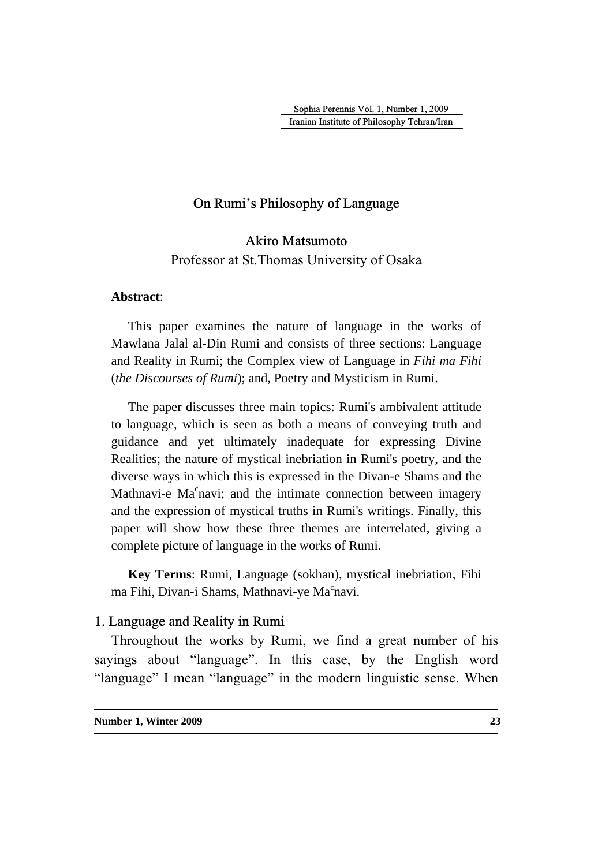Sophia Perennis Vol. 1, Number 1, 2009 Iranian Institute of Philosophy Tehran/Iran

## On Rumi's Philosophy of Language

Akiro Matsumoto Professor at St.Thomas University of Osaka

#### **Abstract**:

This paper examines the nature of language in the works of Mawlana Jalal al-Din Rumi and consists of three sections: Language and Reality in Rumi; the Complex view of Language in *Fihi ma Fihi* (*the Discourses of Rumi*); and, Poetry and Mysticism in Rumi.

The paper discusses three main topics: Rumi's ambivalent attitude to language, which is seen as both a means of conveying truth and guidance and yet ultimately inadequate for expressing Divine Realities; the nature of mystical inebriation in Rumi's poetry, and the diverse ways in which this is expressed in the Divan-e Shams and the Mathnavi-e Ma<sup>c</sup>navi; and the intimate connection between imagery and the expression of mystical truths in Rumi's writings. Finally, this paper will show how these three themes are interrelated, giving a complete picture of language in the works of Rumi.

**Key Terms**: Rumi, Language (sokhan), mystical inebriation, Fihi ma Fihi, Divan-i Shams, Mathnavi-ye Ma<sup>c</sup>navi.

## 1. Language and Reality in Rumi

Throughout the works by Rumi, we find a great number of his sayings about "language". In this case, by the English word "language" I mean "language" in the modern linguistic sense. When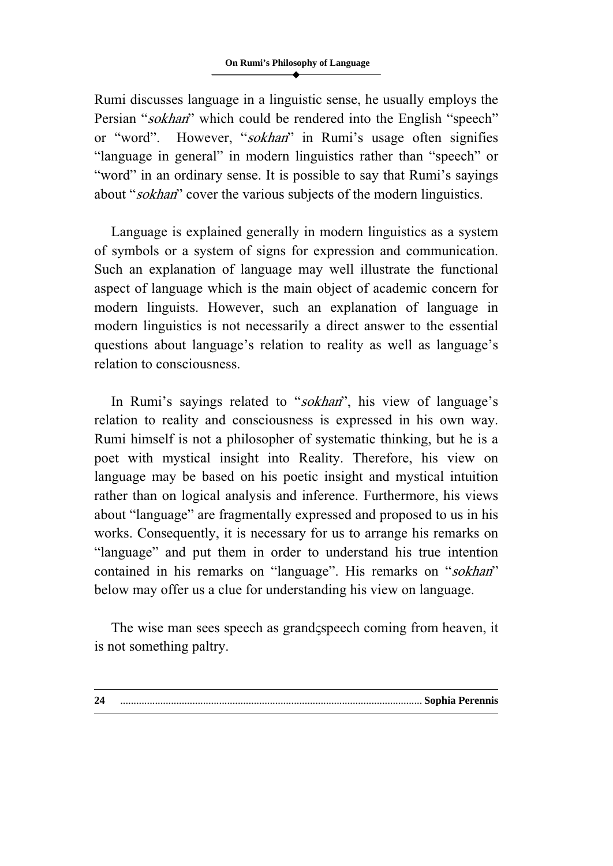Rumi discusses language in a linguistic sense, he usually employs the Persian "sokhan" which could be rendered into the English "speech" or "word". However, "sokhan" in Rumi's usage often signifies "language in general" in modern linguistics rather than "speech" or "word" in an ordinary sense. It is possible to say that Rumi's sayings about "sokhan" cover the various subjects of the modern linguistics.

Language is explained generally in modern linguistics as a system of symbols or a system of signs for expression and communication. Such an explanation of language may well illustrate the functional aspect of language which is the main object of academic concern for modern linguists. However, such an explanation of language in modern linguistics is not necessarily a direct answer to the essential questions about language's relation to reality as well as language's relation to consciousness.

In Rumi's sayings related to "sokhan", his view of language's relation to reality and consciousness is expressed in his own way. Rumi himself is not a philosopher of systematic thinking, but he is a poet with mystical insight into Reality. Therefore, his view on language may be based on his poetic insight and mystical intuition rather than on logical analysis and inference. Furthermore, his views about "language" are fragmentally expressed and proposed to us in his works. Consequently, it is necessary for us to arrange his remarks on "language" and put them in order to understand his true intention contained in his remarks on "language". His remarks on "sokhan" below may offer us a clue for understanding his view on language.

The wise man sees speech as grandspeech coming from heaven, it is not something paltry.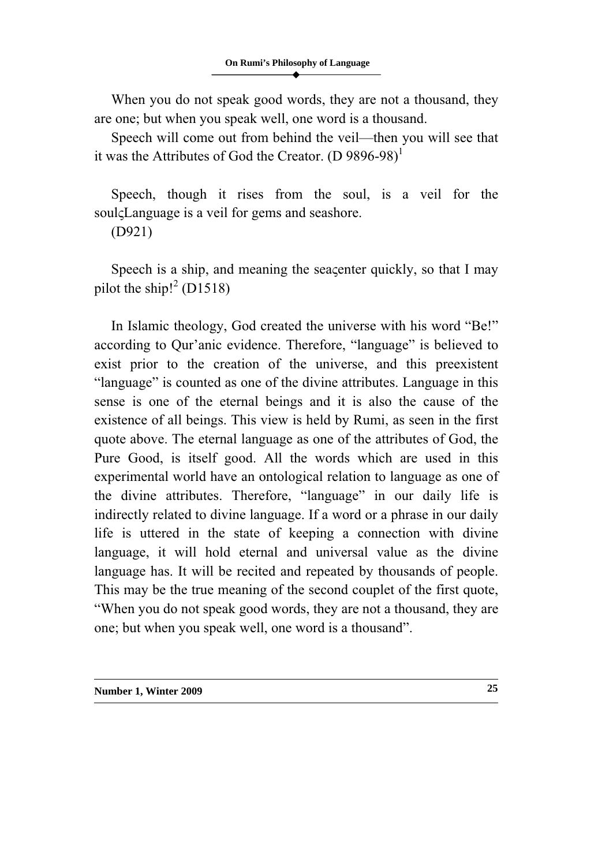When you do not speak good words, they are not a thousand, they are one; but when you speak well, one word is a thousand.

Speech will come out from behind the veil—then you will see that it was the Attributes of God the Creator.  $(D 9896-98)^1$ 

Speech, though it rises from the soul, is a veil for the soul $\zeta$ Language is a veil for gems and seashore.

(D921)

Speech is a ship, and meaning the seaçenter quickly, so that I may pilot the ship! $^{2}$  (D1518)

In Islamic theology, God created the universe with his word "Be!" according to Qur'anic evidence. Therefore, "language" is believed to exist prior to the creation of the universe, and this preexistent "language" is counted as one of the divine attributes. Language in this sense is one of the eternal beings and it is also the cause of the existence of all beings. This view is held by Rumi, as seen in the first quote above. The eternal language as one of the attributes of God, the Pure Good, is itself good. All the words which are used in this experimental world have an ontological relation to language as one of the divine attributes. Therefore, "language" in our daily life is indirectly related to divine language. If a word or a phrase in our daily life is uttered in the state of keeping a connection with divine language, it will hold eternal and universal value as the divine language has. It will be recited and repeated by thousands of people. This may be the true meaning of the second couplet of the first quote, "When you do not speak good words, they are not a thousand, they are one; but when you speak well, one word is a thousand".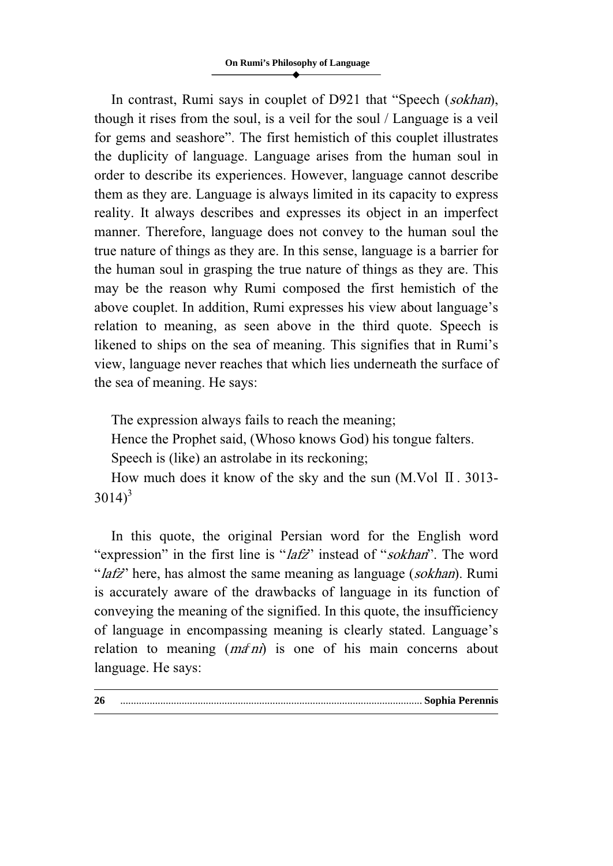In contrast, Rumi says in couplet of D921 that "Speech (*sokhan*), though it rises from the soul, is a veil for the soul / Language is a veil for gems and seashore". The first hemistich of this couplet illustrates the duplicity of language. Language arises from the human soul in order to describe its experiences. However, language cannot describe them as they are. Language is always limited in its capacity to express reality. It always describes and expresses its object in an imperfect manner. Therefore, language does not convey to the human soul the true nature of things as they are. In this sense, language is a barrier for the human soul in grasping the true nature of things as they are. This may be the reason why Rumi composed the first hemistich of the above couplet. In addition, Rumi expresses his view about language's relation to meaning, as seen above in the third quote. Speech is likened to ships on the sea of meaning. This signifies that in Rumi's view, language never reaches that which lies underneath the surface of the sea of meaning. He says:

The expression always fails to reach the meaning;

Hence the Prophet said, (Whoso knows God) his tongue falters.

Speech is (like) an astrolabe in its reckoning;

How much does it know of the sky and the sun (M.Vol Ⅱ. 3013-  $3014$ <sup>3</sup>

In this quote, the original Persian word for the English word "expression" in the first line is "*lafz*" instead of "*sokhan*". The word "lafz" here, has almost the same meaning as language (sokhan). Rumi is accurately aware of the drawbacks of language in its function of conveying the meaning of the signified. In this quote, the insufficiency of language in encompassing meaning is clearly stated. Language's relation to meaning  $(m\hat{\sigma}n)$  is one of his main concerns about language. He says: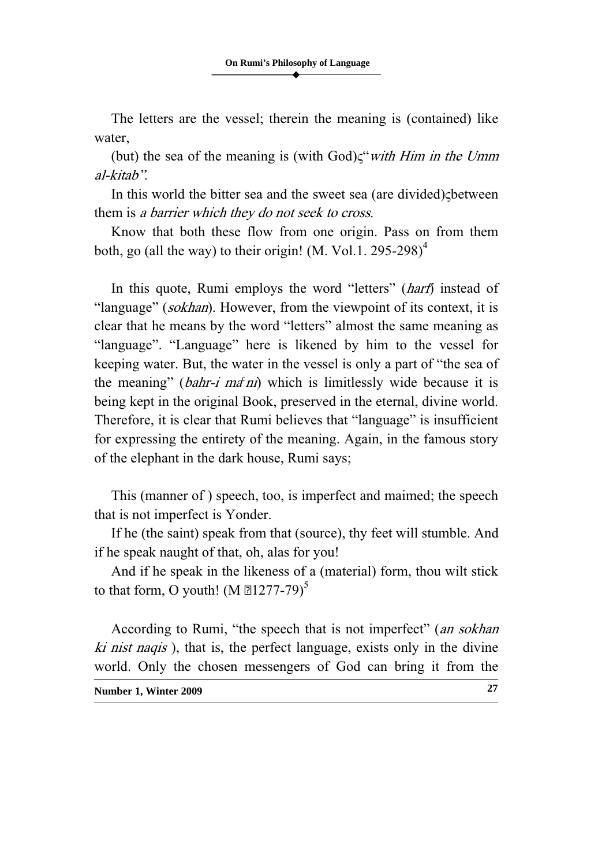The letters are the vessel; therein the meaning is (contained) like water,

(but) the sea of the meaning is (with  $God) \zeta$ "*with Him in the Umm* al-kitab".

In this world the bitter sea and the sweet sea (are divided) $\zeta$ between them is a barrier which they do not seek to cross.

Know that both these flow from one origin. Pass on from them both, go (all the way) to their origin! (M. Vol.1. 295-298)<sup>4</sup>

In this quote, Rumi employs the word "letters" *(harf)* instead of "language" *(sokhan)*. However, from the viewpoint of its context, it is clear that he means by the word "letters" almost the same meaning as "language". "Language" here is likened by him to the vessel for keeping water. But, the water in the vessel is only a part of "the sea of the meaning" (bahr-i ma<sup>s</sup> ni) which is limitlessly wide because it is being kept in the original Book, preserved in the eternal, divine world. Therefore, it is clear that Rumi believes that "language" is insufficient for expressing the entirety of the meaning. Again, in the famous story of the elephant in the dark house, Rumi says;

This (manner of ) speech, too, is imperfect and maimed; the speech that is not imperfect is Yonder.

If he (the saint) speak from that (source), thy feet will stumble. And if he speak naught of that, oh, alas for you!

And if he speak in the likeness of a (material) form, thou wilt stick to that form, O youth! (M  $1277-79$ )<sup>5</sup>

According to Rumi, "the speech that is not imperfect" (an sokhan ki nist naqis ), that is, the perfect language, exists only in the divine world. Only the chosen messengers of God can bring it from the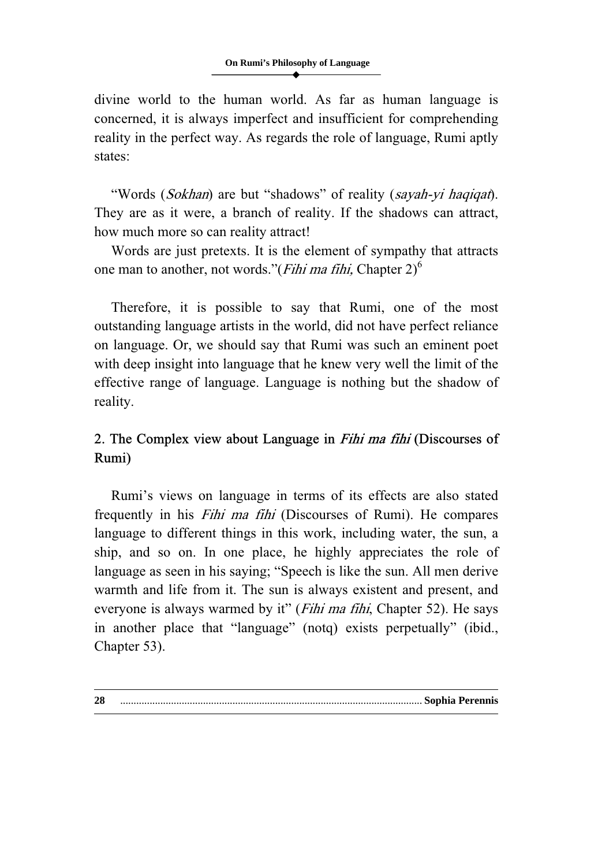divine world to the human world. As far as human language is concerned, it is always imperfect and insufficient for comprehending reality in the perfect way. As regards the role of language, Rumi aptly states:

"Words (Sokhan) are but "shadows" of reality (sayah-yi haqiqat). They are as it were, a branch of reality. If the shadows can attract, how much more so can reality attract!

Words are just pretexts. It is the element of sympathy that attracts one man to another, not words."(*Fihi ma fihi*, Chapter  $2)^6$ 

Therefore, it is possible to say that Rumi, one of the most outstanding language artists in the world, did not have perfect reliance on language. Or, we should say that Rumi was such an eminent poet with deep insight into language that he knew very well the limit of the effective range of language. Language is nothing but the shadow of reality.

# 2. The Complex view about Language in Fihi ma fihi (Discourses of Rumi)

Rumi's views on language in terms of its effects are also stated frequently in his Fihi ma fihi (Discourses of Rumi). He compares language to different things in this work, including water, the sun, a ship, and so on. In one place, he highly appreciates the role of language as seen in his saying; "Speech is like the sun. All men derive warmth and life from it. The sun is always existent and present, and everyone is always warmed by it" (*Fihi ma fihi*, Chapter 52). He says in another place that "language" (notq) exists perpetually" (ibid., Chapter 53).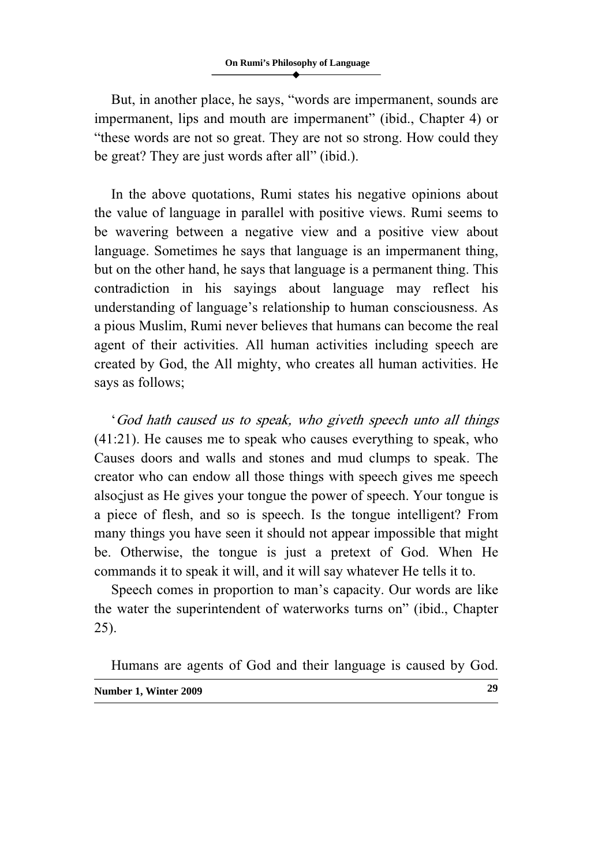But, in another place, he says, "words are impermanent, sounds are impermanent, lips and mouth are impermanent" (ibid., Chapter 4) or "these words are not so great. They are not so strong. How could they be great? They are just words after all" (ibid.).

In the above quotations, Rumi states his negative opinions about the value of language in parallel with positive views. Rumi seems to be wavering between a negative view and a positive view about language. Sometimes he says that language is an impermanent thing, but on the other hand, he says that language is a permanent thing. This contradiction in his sayings about language may reflect his understanding of language's relationship to human consciousness. As a pious Muslim, Rumi never believes that humans can become the real agent of their activities. All human activities including speech are created by God, the All mighty, who creates all human activities. He says as follows;

'God hath caused us to speak, who giveth speech unto all things (41:21). He causes me to speak who causes everything to speak, who Causes doors and walls and stones and mud clumps to speak. The creator who can endow all those things with speech gives me speech also giust as He gives your tongue the power of speech. Your tongue is a piece of flesh, and so is speech. Is the tongue intelligent? From many things you have seen it should not appear impossible that might be. Otherwise, the tongue is just a pretext of God. When He commands it to speak it will, and it will say whatever He tells it to.

Speech comes in proportion to man's capacity. Our words are like the water the superintendent of waterworks turns on" (ibid., Chapter 25).

**Number 1, Winter 2009 29** Humans are agents of God and their language is caused by God.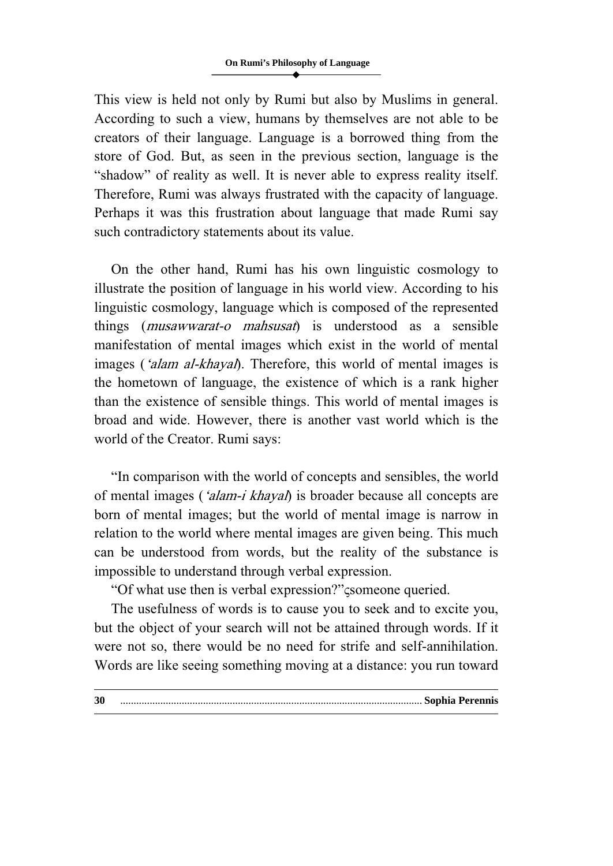This view is held not only by Rumi but also by Muslims in general. According to such a view, humans by themselves are not able to be creators of their language. Language is a borrowed thing from the store of God. But, as seen in the previous section, language is the "shadow" of reality as well. It is never able to express reality itself. Therefore, Rumi was always frustrated with the capacity of language. Perhaps it was this frustration about language that made Rumi say such contradictory statements about its value.

On the other hand, Rumi has his own linguistic cosmology to illustrate the position of language in his world view. According to his linguistic cosmology, language which is composed of the represented things (musawwarat-o mahsusat) is understood as a sensible manifestation of mental images which exist in the world of mental images ('alam al-khayal). Therefore, this world of mental images is the hometown of language, the existence of which is a rank higher than the existence of sensible things. This world of mental images is broad and wide. However, there is another vast world which is the world of the Creator. Rumi says:

"In comparison with the world of concepts and sensibles, the world of mental images ('alam-i khayal) is broader because all concepts are born of mental images; but the world of mental image is narrow in relation to the world where mental images are given being. This much can be understood from words, but the reality of the substance is impossible to understand through verbal expression.

"Of what use then is verbal expression?"  $\zeta$ someone queried.

The usefulness of words is to cause you to seek and to excite you, but the object of your search will not be attained through words. If it were not so, there would be no need for strife and self-annihilation. Words are like seeing something moving at a distance: you run toward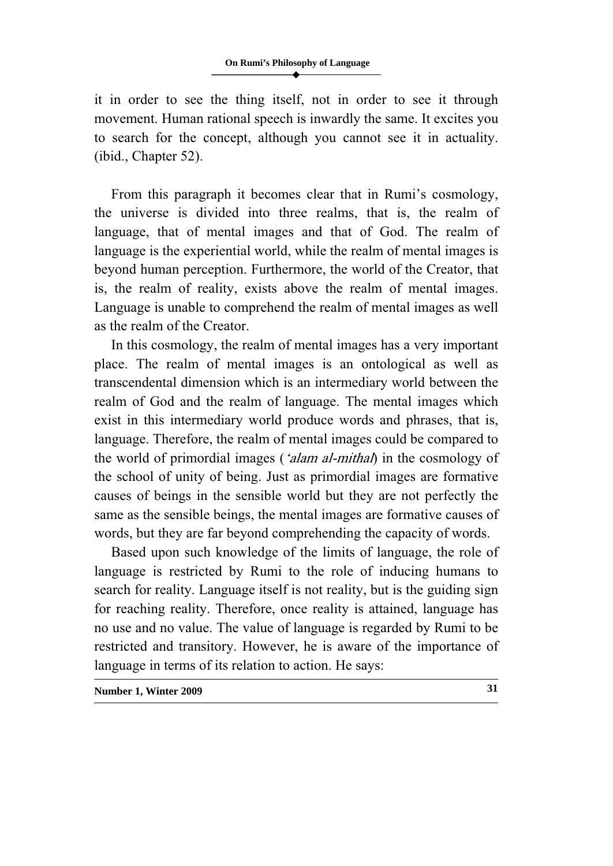it in order to see the thing itself, not in order to see it through movement. Human rational speech is inwardly the same. It excites you to search for the concept, although you cannot see it in actuality. (ibid., Chapter 52).

From this paragraph it becomes clear that in Rumi's cosmology, the universe is divided into three realms, that is, the realm of language, that of mental images and that of God. The realm of language is the experiential world, while the realm of mental images is beyond human perception. Furthermore, the world of the Creator, that is, the realm of reality, exists above the realm of mental images. Language is unable to comprehend the realm of mental images as well as the realm of the Creator.

In this cosmology, the realm of mental images has a very important place. The realm of mental images is an ontological as well as transcendental dimension which is an intermediary world between the realm of God and the realm of language. The mental images which exist in this intermediary world produce words and phrases, that is, language. Therefore, the realm of mental images could be compared to the world of primordial images (*'alam al-mithal*) in the cosmology of the school of unity of being. Just as primordial images are formative causes of beings in the sensible world but they are not perfectly the same as the sensible beings, the mental images are formative causes of words, but they are far beyond comprehending the capacity of words.

Based upon such knowledge of the limits of language, the role of language is restricted by Rumi to the role of inducing humans to search for reality. Language itself is not reality, but is the guiding sign for reaching reality. Therefore, once reality is attained, language has no use and no value. The value of language is regarded by Rumi to be restricted and transitory. However, he is aware of the importance of language in terms of its relation to action. He says: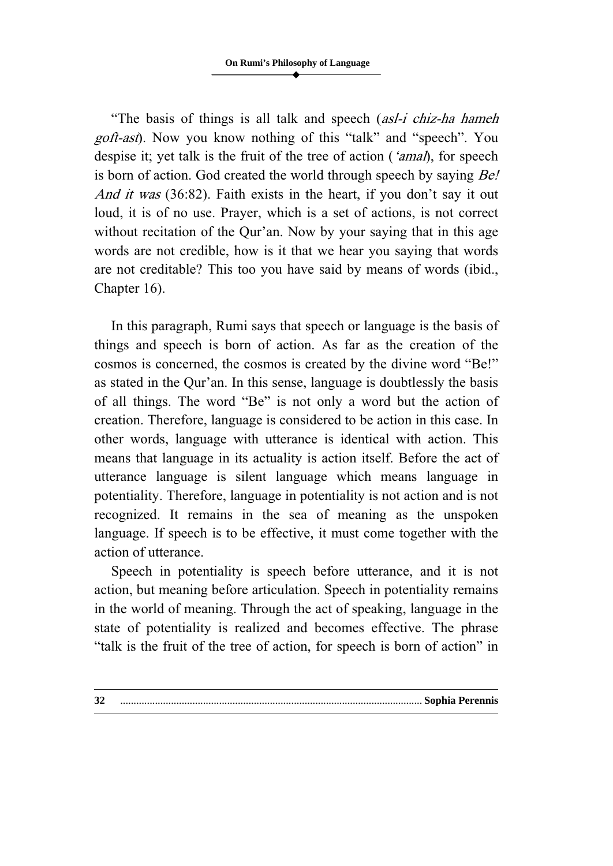"The basis of things is all talk and speech (*asl-i chiz-ha hameh* goft-ast). Now you know nothing of this "talk" and "speech". You despise it; yet talk is the fruit of the tree of action ('amal), for speech is born of action. God created the world through speech by saying *Be!* And it was (36:82). Faith exists in the heart, if you don't say it out loud, it is of no use. Prayer, which is a set of actions, is not correct without recitation of the Qur'an. Now by your saying that in this age words are not credible, how is it that we hear you saying that words are not creditable? This too you have said by means of words (ibid., Chapter 16).

In this paragraph, Rumi says that speech or language is the basis of things and speech is born of action. As far as the creation of the cosmos is concerned, the cosmos is created by the divine word "Be!" as stated in the Qur'an. In this sense, language is doubtlessly the basis of all things. The word "Be" is not only a word but the action of creation. Therefore, language is considered to be action in this case. In other words, language with utterance is identical with action. This means that language in its actuality is action itself. Before the act of utterance language is silent language which means language in potentiality. Therefore, language in potentiality is not action and is not recognized. It remains in the sea of meaning as the unspoken language. If speech is to be effective, it must come together with the action of utterance.

Speech in potentiality is speech before utterance, and it is not action, but meaning before articulation. Speech in potentiality remains in the world of meaning. Through the act of speaking, language in the state of potentiality is realized and becomes effective. The phrase "talk is the fruit of the tree of action, for speech is born of action" in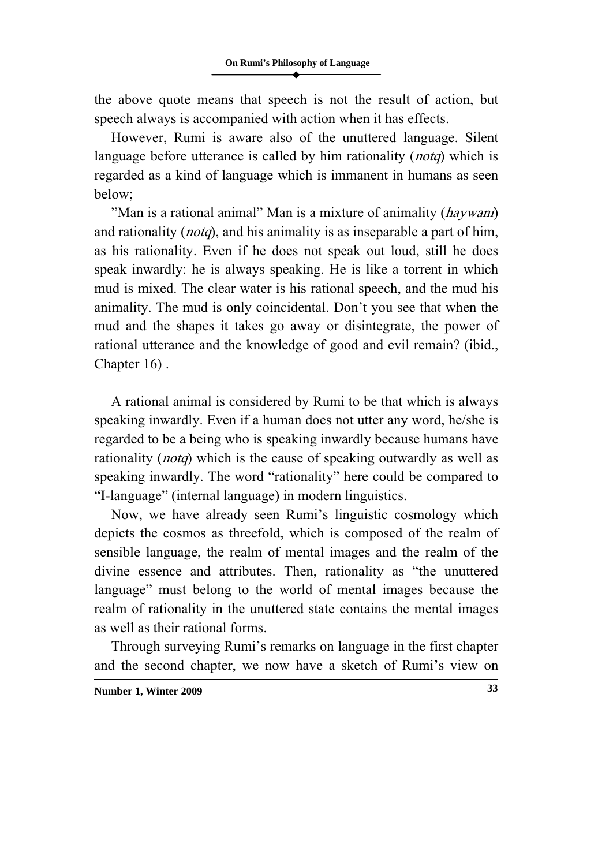the above quote means that speech is not the result of action, but speech always is accompanied with action when it has effects.

However, Rumi is aware also of the unuttered language. Silent language before utterance is called by him rationality (*notq*) which is regarded as a kind of language which is immanent in humans as seen below;

"Man is a rational animal" Man is a mixture of animality (*haywani*) and rationality (*notq*), and his animality is as inseparable a part of him, as his rationality. Even if he does not speak out loud, still he does speak inwardly: he is always speaking. He is like a torrent in which mud is mixed. The clear water is his rational speech, and the mud his animality. The mud is only coincidental. Don't you see that when the mud and the shapes it takes go away or disintegrate, the power of rational utterance and the knowledge of good and evil remain? (ibid., Chapter 16) .

A rational animal is considered by Rumi to be that which is always speaking inwardly. Even if a human does not utter any word, he/she is regarded to be a being who is speaking inwardly because humans have rationality (*notq*) which is the cause of speaking outwardly as well as speaking inwardly. The word "rationality" here could be compared to "I-language" (internal language) in modern linguistics.

Now, we have already seen Rumi's linguistic cosmology which depicts the cosmos as threefold, which is composed of the realm of sensible language, the realm of mental images and the realm of the divine essence and attributes. Then, rationality as "the unuttered language" must belong to the world of mental images because the realm of rationality in the unuttered state contains the mental images as well as their rational forms.

Through surveying Rumi's remarks on language in the first chapter and the second chapter, we now have a sketch of Rumi's view on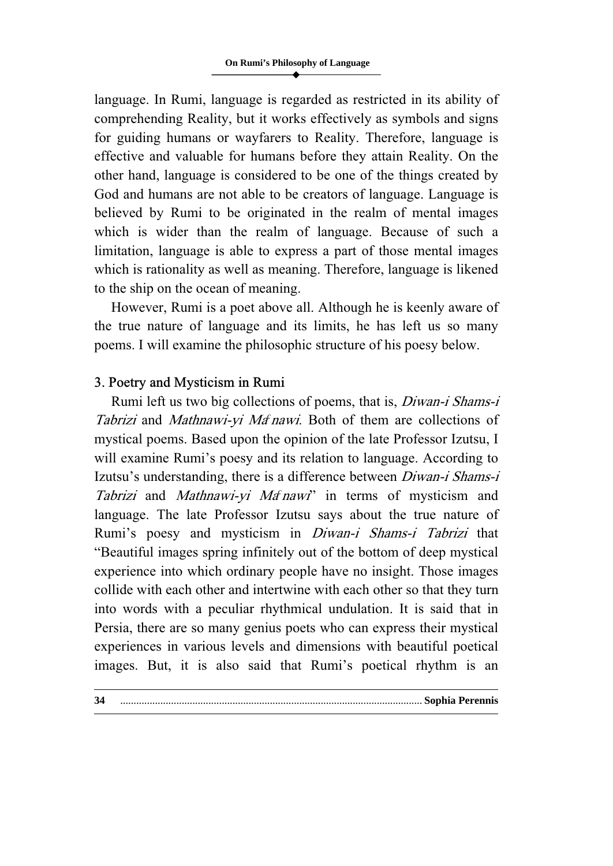language. In Rumi, language is regarded as restricted in its ability of comprehending Reality, but it works effectively as symbols and signs for guiding humans or wayfarers to Reality. Therefore, language is effective and valuable for humans before they attain Reality. On the other hand, language is considered to be one of the things created by God and humans are not able to be creators of language. Language is believed by Rumi to be originated in the realm of mental images which is wider than the realm of language. Because of such a limitation, language is able to express a part of those mental images which is rationality as well as meaning. Therefore, language is likened to the ship on the ocean of meaning.

However, Rumi is a poet above all. Although he is keenly aware of the true nature of language and its limits, he has left us so many poems. I will examine the philosophic structure of his poesy below.

### 3. Poetry and Mysticism in Rumi

Rumi left us two big collections of poems, that is, Diwan-i Shams-i Tabrizi and Mathnawi-yi Ma'nawi. Both of them are collections of mystical poems. Based upon the opinion of the late Professor Izutsu, I will examine Rumi's poesy and its relation to language. According to Izutsu's understanding, there is a difference between Diwan-i Shams-i Tabrizi and Mathnawi-yi Ma'nawi' in terms of mysticism and language. The late Professor Izutsu says about the true nature of Rumi's poesy and mysticism in Diwan-i Shams-i Tabrizi that "Beautiful images spring infinitely out of the bottom of deep mystical experience into which ordinary people have no insight. Those images collide with each other and intertwine with each other so that they turn into words with a peculiar rhythmical undulation. It is said that in Persia, there are so many genius poets who can express their mystical experiences in various levels and dimensions with beautiful poetical images. But, it is also said that Rumi's poetical rhythm is an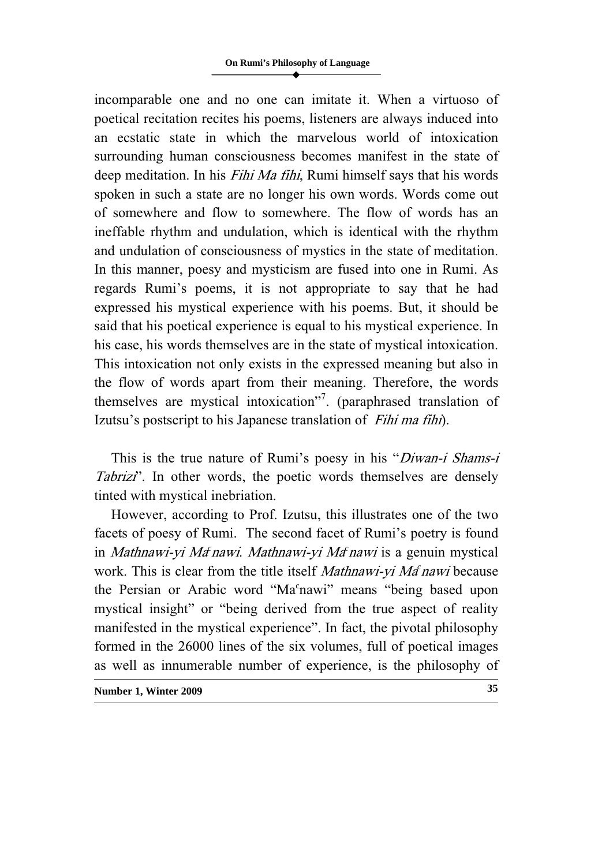incomparable one and no one can imitate it. When a virtuoso of poetical recitation recites his poems, listeners are always induced into an ecstatic state in which the marvelous world of intoxication surrounding human consciousness becomes manifest in the state of deep meditation. In his Fihi Ma fihi, Rumi himself says that his words spoken in such a state are no longer his own words. Words come out of somewhere and flow to somewhere. The flow of words has an ineffable rhythm and undulation, which is identical with the rhythm and undulation of consciousness of mystics in the state of meditation. In this manner, poesy and mysticism are fused into one in Rumi. As regards Rumi's poems, it is not appropriate to say that he had expressed his mystical experience with his poems. But, it should be said that his poetical experience is equal to his mystical experience. In his case, his words themselves are in the state of mystical intoxication. This intoxication not only exists in the expressed meaning but also in the flow of words apart from their meaning. Therefore, the words themselves are mystical intoxication"<sup>7</sup>. (paraphrased translation of Izutsu's postscript to his Japanese translation of Fihi ma fihi).

This is the true nature of Rumi's poesy in his "Diwan-i Shams-i Tabrizi". In other words, the poetic words themselves are densely tinted with mystical inebriation.

However, according to Prof. Izutsu, this illustrates one of the two facets of poesy of Rumi. The second facet of Rumi's poetry is found in Mathnawi-yi Ma<sup>c</sup> nawi. Mathnawi-yi Ma<sup>c</sup> nawi is a genuin mystical work. This is clear from the title itself Mathnawi-yi Mat nawi because the Persian or Arabic word "Ma<sup>c</sup>nawi" means "being based upon mystical insight" or "being derived from the true aspect of reality manifested in the mystical experience". In fact, the pivotal philosophy formed in the 26000 lines of the six volumes, full of poetical images as well as innumerable number of experience, is the philosophy of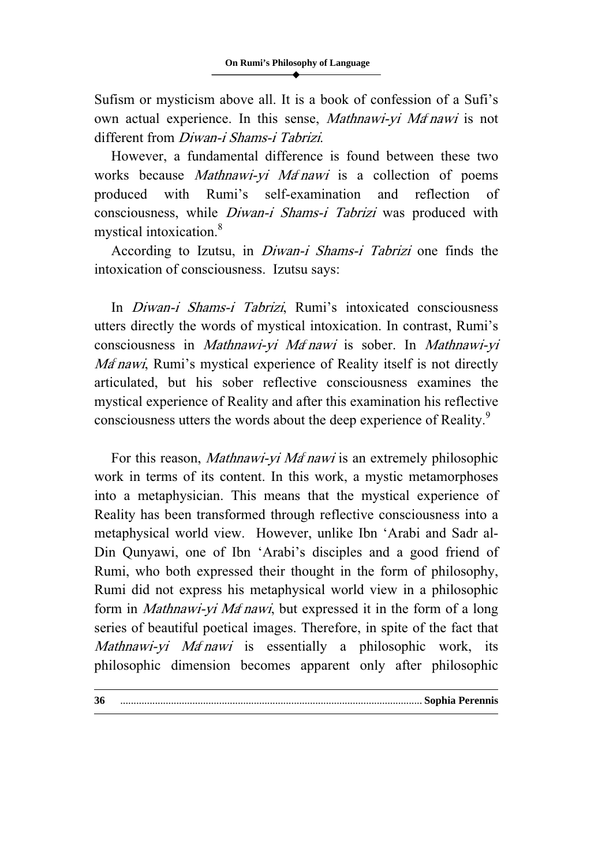Sufism or mysticism above all. It is a book of confession of a Sufi's own actual experience. In this sense, Mathnawi-yi Ma<sup>c</sup> nawi is not different from Diwan-i Shams-i Tabrizi.

However, a fundamental difference is found between these two works because *Mathnawi-yi Ma<sup>c</sup>nawi* is a collection of poems produced with Rumi's self-examination and reflection of consciousness, while Diwan-i Shams-i Tabrizi was produced with mystical intoxication.<sup>8</sup>

According to Izutsu, in Diwan-i Shams-i Tabrizi one finds the intoxication of consciousness. Izutsu says:

In Diwan-i Shams-i Tabrizi, Rumi's intoxicated consciousness utters directly the words of mystical intoxication. In contrast, Rumi's consciousness in Mathnawi-yi Ma'nawi is sober. In Mathnawi-yi Ma<sup>c</sup> nawi, Rumi's mystical experience of Reality itself is not directly articulated, but his sober reflective consciousness examines the mystical experience of Reality and after this examination his reflective consciousness utters the words about the deep experience of Reality.<sup>9</sup>

For this reason, Mathnawi-yi Matnawi is an extremely philosophic work in terms of its content. In this work, a mystic metamorphoses into a metaphysician. This means that the mystical experience of Reality has been transformed through reflective consciousness into a metaphysical world view. However, unlike Ibn 'Arabi and Sadr al-Din Qunyawi, one of Ibn 'Arabi's disciples and a good friend of Rumi, who both expressed their thought in the form of philosophy, Rumi did not express his metaphysical world view in a philosophic form in Mathnawi-yi Ma' nawi, but expressed it in the form of a long series of beautiful poetical images. Therefore, in spite of the fact that Mathnawi-yi Ma'nawi is essentially a philosophic work, its philosophic dimension becomes apparent only after philosophic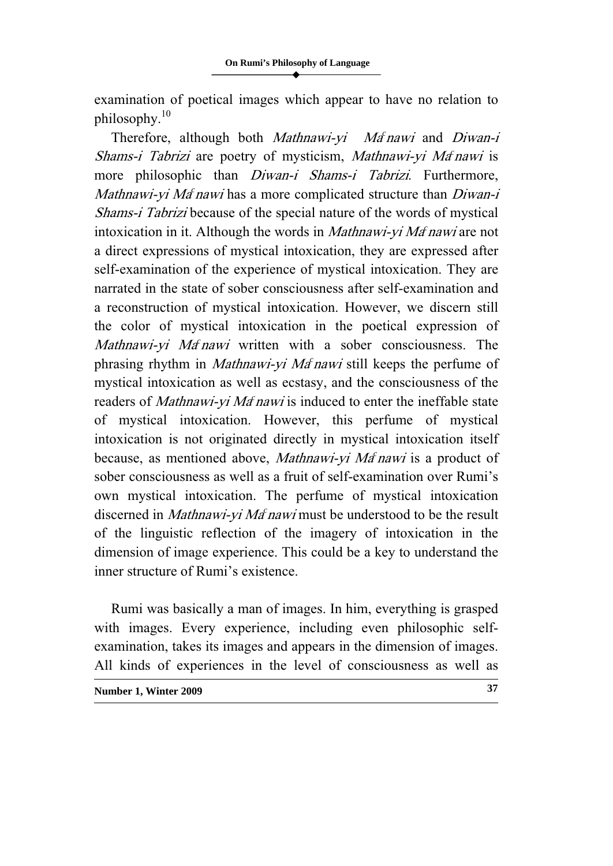examination of poetical images which appear to have no relation to philosophy. $10$ 

Therefore, although both Mathnawi-yi Mathawi and Diwan-i Shams-i Tabrizi are poetry of mysticism, Mathnawi-yi Ma<sup>c</sup> nawi is more philosophic than *Diwan-i Shams-i Tabrizi*. Furthermore, Mathnawi-yi Ma<sup>c</sup> nawi has a more complicated structure than Diwan-i Shams-i Tabrizi because of the special nature of the words of mystical intoxication in it. Although the words in *Mathnawi-yi Ma<sup>c</sup> nawi* are not a direct expressions of mystical intoxication, they are expressed after self-examination of the experience of mystical intoxication. They are narrated in the state of sober consciousness after self-examination and a reconstruction of mystical intoxication. However, we discern still the color of mystical intoxication in the poetical expression of Mathnawi-yi Ma<sup>c</sup> nawi written with a sober consciousness. The phrasing rhythm in *Mathnawi-yi Ma<sup>c</sup>nawi* still keeps the perfume of mystical intoxication as well as ecstasy, and the consciousness of the readers of Mathnawi-yi Ma' nawi is induced to enter the ineffable state of mystical intoxication. However, this perfume of mystical intoxication is not originated directly in mystical intoxication itself because, as mentioned above, Mathnawi-yi Ma' nawi is a product of sober consciousness as well as a fruit of self-examination over Rumi's own mystical intoxication. The perfume of mystical intoxication discerned in Mathnawi-yi Mat nawi must be understood to be the result of the linguistic reflection of the imagery of intoxication in the dimension of image experience. This could be a key to understand the inner structure of Rumi's existence.

Rumi was basically a man of images. In him, everything is grasped with images. Every experience, including even philosophic selfexamination, takes its images and appears in the dimension of images. All kinds of experiences in the level of consciousness as well as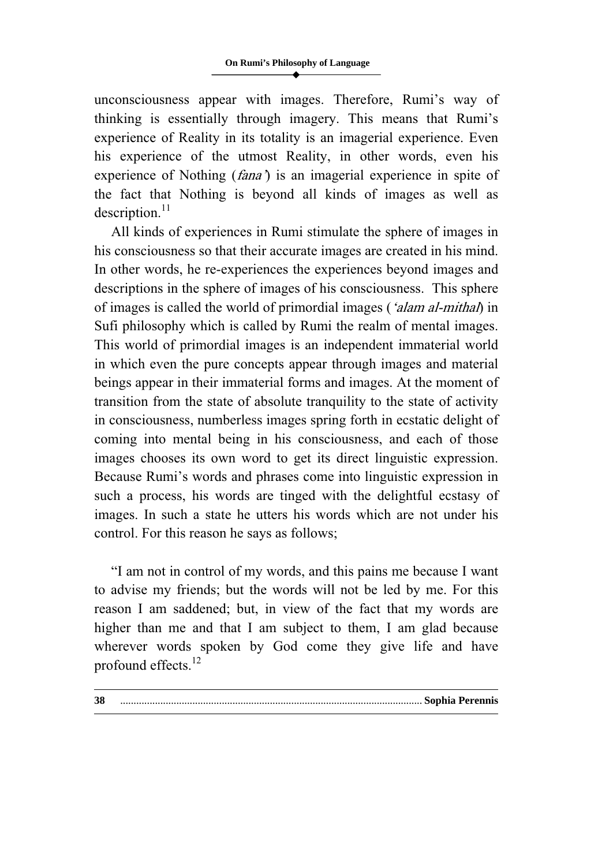unconsciousness appear with images. Therefore, Rumi's way of thinking is essentially through imagery. This means that Rumi's experience of Reality in its totality is an imagerial experience. Even his experience of the utmost Reality, in other words, even his experience of Nothing (*fana*) is an imagerial experience in spite of the fact that Nothing is beyond all kinds of images as well as  $description.<sup>11</sup>$ 

All kinds of experiences in Rumi stimulate the sphere of images in his consciousness so that their accurate images are created in his mind. In other words, he re-experiences the experiences beyond images and descriptions in the sphere of images of his consciousness. This sphere of images is called the world of primordial images ('alam al-mithal) in Sufi philosophy which is called by Rumi the realm of mental images. This world of primordial images is an independent immaterial world in which even the pure concepts appear through images and material beings appear in their immaterial forms and images. At the moment of transition from the state of absolute tranquility to the state of activity in consciousness, numberless images spring forth in ecstatic delight of coming into mental being in his consciousness, and each of those images chooses its own word to get its direct linguistic expression. Because Rumi's words and phrases come into linguistic expression in such a process, his words are tinged with the delightful ecstasy of images. In such a state he utters his words which are not under his control. For this reason he says as follows;

"I am not in control of my words, and this pains me because I want to advise my friends; but the words will not be led by me. For this reason I am saddened; but, in view of the fact that my words are higher than me and that I am subject to them, I am glad because wherever words spoken by God come they give life and have profound effects.<sup>12</sup>